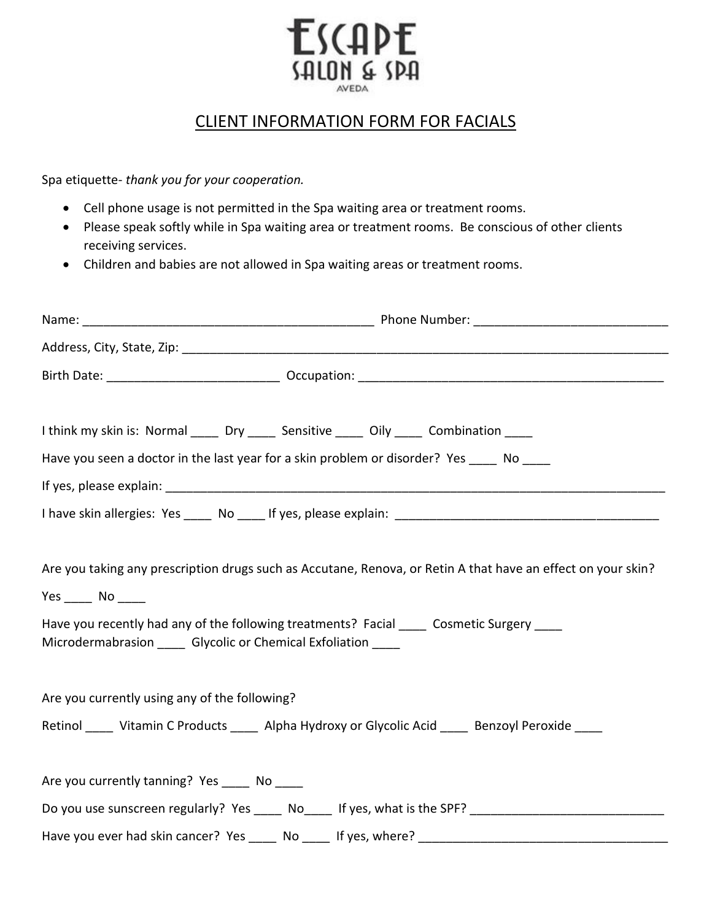## **ESCAPE ZALON & SPA**

## CLIENT INFORMATION FORM FOR FACIALS

Spa etiquette- *thank you for your cooperation.*

- Cell phone usage is not permitted in the Spa waiting area or treatment rooms.
- Please speak softly while in Spa waiting area or treatment rooms. Be conscious of other clients receiving services.
- Children and babies are not allowed in Spa waiting areas or treatment rooms.

|                                                                                    | I think my skin is: Normal _____ Dry _____ Sensitive _____ Oily _____ Combination ____<br>Have you seen a doctor in the last year for a skin problem or disorder? Yes _____ No ____                       |  |  |  |  |
|------------------------------------------------------------------------------------|-----------------------------------------------------------------------------------------------------------------------------------------------------------------------------------------------------------|--|--|--|--|
|                                                                                    |                                                                                                                                                                                                           |  |  |  |  |
|                                                                                    |                                                                                                                                                                                                           |  |  |  |  |
| $Yes$ No $\_\_$<br>Microdermabrasion ______ Glycolic or Chemical Exfoliation _____ | Are you taking any prescription drugs such as Accutane, Renova, or Retin A that have an effect on your skin?<br>Have you recently had any of the following treatments? Facial _____ Cosmetic Surgery ____ |  |  |  |  |
| Are you currently using any of the following?                                      | Retinol _____ Vitamin C Products _____ Alpha Hydroxy or Glycolic Acid _____ Benzoyl Peroxide ____                                                                                                         |  |  |  |  |
| Are you currently tanning? Yes _____ No ____                                       |                                                                                                                                                                                                           |  |  |  |  |
|                                                                                    |                                                                                                                                                                                                           |  |  |  |  |
|                                                                                    |                                                                                                                                                                                                           |  |  |  |  |